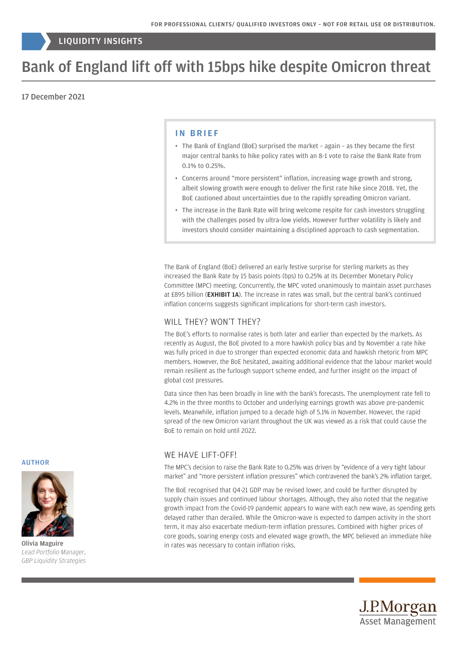## LIQUIDITY INSIGHTS

# Bank of England lift off with 15bps hike despite Omicron threat

## 17 December 2021

### IN BRIEF

- The Bank of England (BoE) surprised the market again as they became the first major central banks to hike policy rates with an 8-1 vote to raise the Bank Rate from 0.1% to 0.25%.
- Concerns around "more persistent" inflation, increasing wage growth and strong, albeit slowing growth were enough to deliver the first rate hike since 2018. Yet, the BoE cautioned about uncertainties due to the rapidly spreading Omicron variant.
- The increase in the Bank Rate will bring welcome respite for cash investors struggling with the challenges posed by ultra-low yields. However further volatility is likely and investors should consider maintaining a disciplined approach to cash segmentation.

The Bank of England (BoE) delivered an early festive surprise for sterling markets as they increased the Bank Rate by 15 basis points (bps) to 0.25% at its December Monetary Policy Committee (MPC) meeting. Concurrently, the MPC voted unanimously to maintain asset purchases at £895 billion (EXHIBIT 1A). The increase in rates was small, but the central bank's continued inflation concerns suggests significant implications for short-term cash investors.

### WILL THEY? WON'T THEY?

The BoE's efforts to normalise rates is both later and earlier than expected by the markets. As recently as August, the BoE pivoted to a more hawkish policy bias and by November a rate hike was fully priced in due to stronger than expected economic data and hawkish rhetoric from MPC members. However, the BoE hesitated, awaiting additional evidence that the labour market would remain resilient as the furlough support scheme ended, and further insight on the impact of global cost pressures.

Data since then has been broadly in line with the bank's forecasts. The unemployment rate fell to 4.2% in the three months to October and underlying earnings growth was above pre-pandemic levels. Meanwhile, inflation jumped to a decade high of 5.1% in November. However, the rapid spread of the new Omicron variant throughout the UK was viewed as a risk that could cause the BoE to remain on hold until 2022.

## WE HAVE LIFT-OFF!

The MPC's decision to raise the Bank Rate to 0.25% was driven by "evidence of a very tight labour market" and "more persistent inflation pressures" which contravened the bank's 2% inflation target.

The BoE recognised that Q4-21 GDP may be revised lower, and could be further disrupted by supply chain issues and continued labour shortages. Although, they also noted that the negative growth impact from the Covid-19 pandemic appears to wane with each new wave, as spending gets delayed rather than derailed. While the Omicron-wave is expected to dampen activity in the short term, it may also exacerbate medium-term inflation pressures. Combined with higher prices of core goods, soaring energy costs and elevated wage growth, the MPC believed an immediate hike in rates was necessary to contain inflation risks.





Olivia Maguire *Lead Portfolio Manager, GBP Liquidity Strategies*

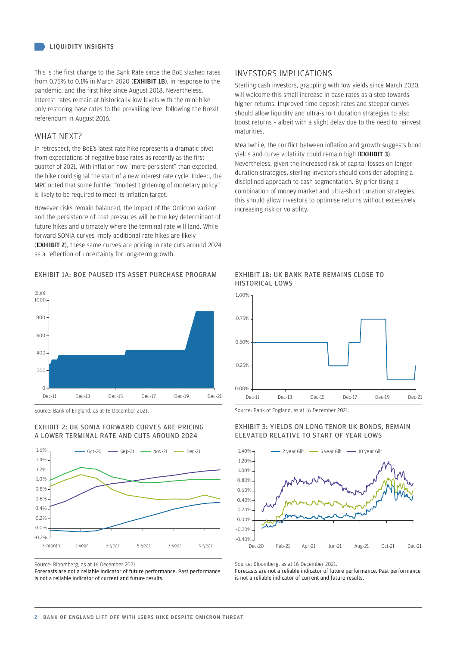This is the first change to the Bank Rate since the BoE slashed rates from 0.75% to 0.1% in March 2020 (EXHIBIT 1B), in response to the pandemic, and the first hike since August 2018. Nevertheless, interest rates remain at historically low levels with the mini-hike only restoring base rates to the prevailing level following the Brexit referendum in August 2016.

## WHAT NEXT?

In retrospect, the BoE's latest rate hike represents a dramatic pivot from expectations of negative base rates as recently as the first quarter of 2021. With inflation now "more persistent" than expected, the hike could signal the start of a new interest rate cycle. Indeed, the MPC noted that some further "modest tightening of monetary policy" is likely to be required to meet its inflation target.

However risks remain balanced, the impact of the Omicron variant and the persistence of cost pressures will be the key determinant of future hikes and ultimately where the terminal rate will land. While forward SONIA curves imply additional rate hikes are likely (EXHIBIT 2), these same curves are pricing in rate cuts around 2024 as a reflection of uncertainty for long-term growth.

## EXHIBIT 1A: BOE PAUSED ITS ASSET PURCHASE PROGRAM



Source: Bank of England, as at 16 December 2021.

#### EXHIBIT 2: UK SONIA FORWARD CURVES ARE PRICING A LOWER TERMINAL RATE AND CUTS AROUND 2024



Source: Bloomberg, as at 16 December 2021.

Forecasts are not a reliable indicator of future performance. Past performance is not a reliable indicator of current and future results.

## INVESTORS IMPLICATIONS

Sterling cash investors, grappling with low yields since March 2020, will welcome this small increase in base rates as a step towards higher returns. Improved time deposit rates and steeper curves should allow liquidity and ultra-short duration strategies to also boost returns – albeit with a slight delay due to the need to reinvest maturities.

Meanwhile, the conflict between inflation and growth suggests bond yields and curve volatility could remain high (EXHIBIT 3). Nevertheless, given the increased risk of capital losses on longer duration strategies, sterling investors should consider adopting a disciplined approach to cash segmentation. By prioritising a combination of money market and ultra-short duration strategies, this should allow investors to optimise returns without excessively increasing risk or volatility.





Source: Bank of England, as at 16 December 2021.

#### EXHIBIT 3: YIELDS ON LONG TENOR UK BONDS, REMAIN ELEVATED RELATIVE TO START OF YEAR LOWS



Source: Bloomberg, as at 16 December 2021.

Forecasts are not a reliable indicator of future performance. Past performance is not a reliable indicator of current and future results.